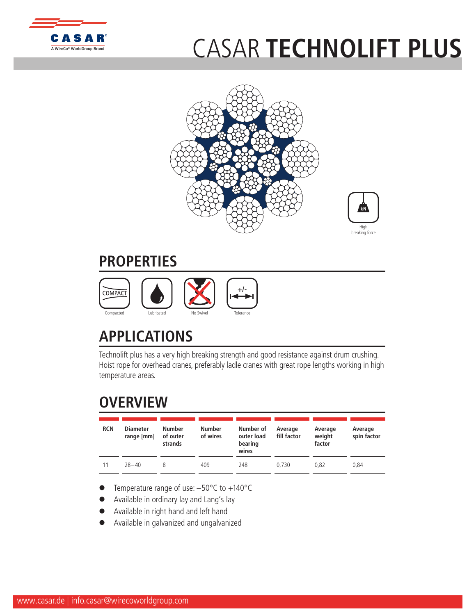

## CASAR **[TECHNOLI](http://www.WireCoWorldGroup.com)FT PLUS**





## **PROPERTIES**



## **APPLICATIONS**

Technolift plus has a very high breaking strength and good resistance against drum crushing. Hoist rope for overhead cranes, preferably ladle cranes with great rope lengths working in high temperature areas.

## **OVERVIEW**

| <b>RCN</b> | <b>Diameter</b><br>range [mm] | Number<br>of outer<br>strands | <b>Number</b><br>of wires | Number of<br>outer load<br>bearing<br>wires | Average<br>fill factor | Average<br>weight<br>factor | Average<br>spin factor |
|------------|-------------------------------|-------------------------------|---------------------------|---------------------------------------------|------------------------|-----------------------------|------------------------|
| 11         | $78 - 40$                     |                               | 409                       | 248                                         | 0.730                  | 0.82                        | 0.84                   |

- Temperature range of use:  $-50^{\circ}$ C to  $+140^{\circ}$ C
- Available in ordinary lay and Lang's lay
- l Available in right hand and left hand
- l Available in galvanized and ungalvanized